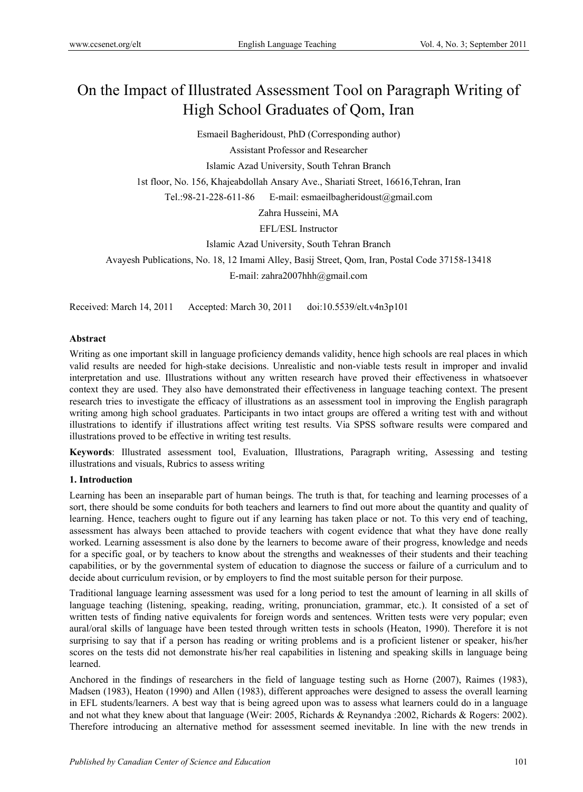# On the Impact of Illustrated Assessment Tool on Paragraph Writing of High School Graduates of Qom, Iran

Esmaeil Bagheridoust, PhD (Corresponding author)

Assistant Professor and Researcher

Islamic Azad University, South Tehran Branch

1st floor, No. 156, Khajeabdollah Ansary Ave., Shariati Street, 16616,Tehran, Iran

Tel.:98-21-228-611-86 E-mail: esmaeilbagheridoust@gmail.com

Zahra Husseini, MA

EFL/ESL Instructor

Islamic Azad University, South Tehran Branch

Avayesh Publications, No. 18, 12 Imami Alley, Basij Street, Qom, Iran, Postal Code 37158-13418

E-mail: zahra2007hhh@gmail.com

Received: March 14, 2011 Accepted: March 30, 2011 doi:10.5539/elt.v4n3p101

### **Abstract**

Writing as one important skill in language proficiency demands validity, hence high schools are real places in which valid results are needed for high-stake decisions. Unrealistic and non-viable tests result in improper and invalid interpretation and use. Illustrations without any written research have proved their effectiveness in whatsoever context they are used. They also have demonstrated their effectiveness in language teaching context. The present research tries to investigate the efficacy of illustrations as an assessment tool in improving the English paragraph writing among high school graduates. Participants in two intact groups are offered a writing test with and without illustrations to identify if illustrations affect writing test results. Via SPSS software results were compared and illustrations proved to be effective in writing test results.

**Keywords**: Illustrated assessment tool, Evaluation, Illustrations, Paragraph writing, Assessing and testing illustrations and visuals, Rubrics to assess writing

#### **1. Introduction**

Learning has been an inseparable part of human beings. The truth is that, for teaching and learning processes of a sort, there should be some conduits for both teachers and learners to find out more about the quantity and quality of learning. Hence, teachers ought to figure out if any learning has taken place or not. To this very end of teaching, assessment has always been attached to provide teachers with cogent evidence that what they have done really worked. Learning assessment is also done by the learners to become aware of their progress, knowledge and needs for a specific goal, or by teachers to know about the strengths and weaknesses of their students and their teaching capabilities, or by the governmental system of education to diagnose the success or failure of a curriculum and to decide about curriculum revision, or by employers to find the most suitable person for their purpose.

Traditional language learning assessment was used for a long period to test the amount of learning in all skills of language teaching (listening, speaking, reading, writing, pronunciation, grammar, etc.). It consisted of a set of written tests of finding native equivalents for foreign words and sentences. Written tests were very popular; even aural/oral skills of language have been tested through written tests in schools (Heaton, 1990). Therefore it is not surprising to say that if a person has reading or writing problems and is a proficient listener or speaker, his/her scores on the tests did not demonstrate his/her real capabilities in listening and speaking skills in language being learned.

Anchored in the findings of researchers in the field of language testing such as Horne (2007), Raimes (1983), Madsen (1983), Heaton (1990) and Allen (1983), different approaches were designed to assess the overall learning in EFL students/learners. A best way that is being agreed upon was to assess what learners could do in a language and not what they knew about that language (Weir: 2005, Richards & Reynandya :2002, Richards & Rogers: 2002). Therefore introducing an alternative method for assessment seemed inevitable. In line with the new trends in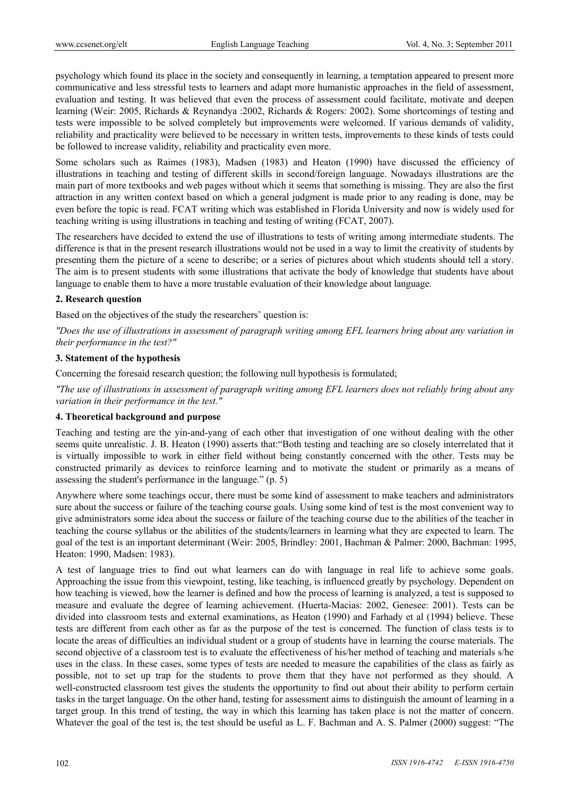psychology which found its place in the society and consequently in learning, a temptation appeared to present more communicative and less stressful tests to learners and adapt more humanistic approaches in the field of assessment, evaluation and testing. It was believed that even the process of assessment could facilitate, motivate and deepen learning (Weir: 2005, Richards & Reynandya :2002, Richards & Rogers: 2002). Some shortcomings of testing and tests were impossible to be solved completely but improvements were welcomed. If various demands of validity, reliability and practicality were believed to be necessary in written tests, improvements to these kinds of tests could be followed to increase validity, reliability and practicality even more.

Some scholars such as Raimes (1983), Madsen (1983) and Heaton (1990) have discussed the efficiency of illustrations in teaching and testing of different skills in second/foreign language. Nowadays illustrations are the main part of more textbooks and web pages without which it seems that something is missing. They are also the first attraction in any written context based on which a general judgment is made prior to any reading is done, may be even before the topic is read. FCAT writing which was established in Florida University and now is widely used for teaching writing is using illustrations in teaching and testing of writing (FCAT, 2007).

The researchers have decided to extend the use of illustrations to tests of writing among intermediate students. The difference is that in the present research illustrations would not be used in a way to limit the creativity of students by presenting them the picture of a scene to describe; or a series of pictures about which students should tell a story. The aim is to present students with some illustrations that activate the body of knowledge that students have about language to enable them to have a more trustable evaluation of their knowledge about language.

# **2. Research question**

Based on the objectives of the study the researchers' question is:

*"Does the use of illustrations in assessment of paragraph writing among EFL learners bring about any variation in their performance in the test?"* 

### **3. Statement of the hypothesis**

Concerning the foresaid research question; the following null hypothesis is formulated;

*"The use of illustrations in assessment of paragraph writing among EFL learners does not reliably bring about any variation in their performance in the test."* 

# **4. Theoretical background and purpose**

Teaching and testing are the yin-and-yang of each other that investigation of one without dealing with the other seems quite unrealistic. J. B. Heaton (1990) asserts that:"Both testing and teaching are so closely interrelated that it is virtually impossible to work in either field without being constantly concerned with the other. Tests may be constructed primarily as devices to reinforce learning and to motivate the student or primarily as a means of assessing the student's performance in the language." (p. 5)

Anywhere where some teachings occur, there must be some kind of assessment to make teachers and administrators sure about the success or failure of the teaching course goals. Using some kind of test is the most convenient way to give administrators some idea about the success or failure of the teaching course due to the abilities of the teacher in teaching the course syllabus or the abilities of the students/learners in learning what they are expected to learn. The goal of the test is an important determinant (Weir: 2005, Brindley: 2001, Bachman & Palmer: 2000, Bachman: 1995, Heaton: 1990, Madsen: 1983).

A test of language tries to find out what learners can do with language in real life to achieve some goals. Approaching the issue from this viewpoint, testing, like teaching, is influenced greatly by psychology. Dependent on how teaching is viewed, how the learner is defined and how the process of learning is analyzed, a test is supposed to measure and evaluate the degree of learning achievement. (Huerta-Macias: 2002, Genesee: 2001). Tests can be divided into classroom tests and external examinations, as Heaton (1990) and Farhady et al (1994) believe. These tests are different from each other as far as the purpose of the test is concerned. The function of class tests is to locate the areas of difficulties an individual student or a group of students have in learning the course materials. The second objective of a classroom test is to evaluate the effectiveness of his/her method of teaching and materials s/he uses in the class. In these cases, some types of tests are needed to measure the capabilities of the class as fairly as possible, not to set up trap for the students to prove them that they have not performed as they should. A well-constructed classroom test gives the students the opportunity to find out about their ability to perform certain tasks in the target language. On the other hand, testing for assessment aims to distinguish the amount of learning in a target group. In this trend of testing, the way in which this learning has taken place is not the matter of concern. Whatever the goal of the test is, the test should be useful as L. F. Bachman and A. S. Palmer (2000) suggest: "The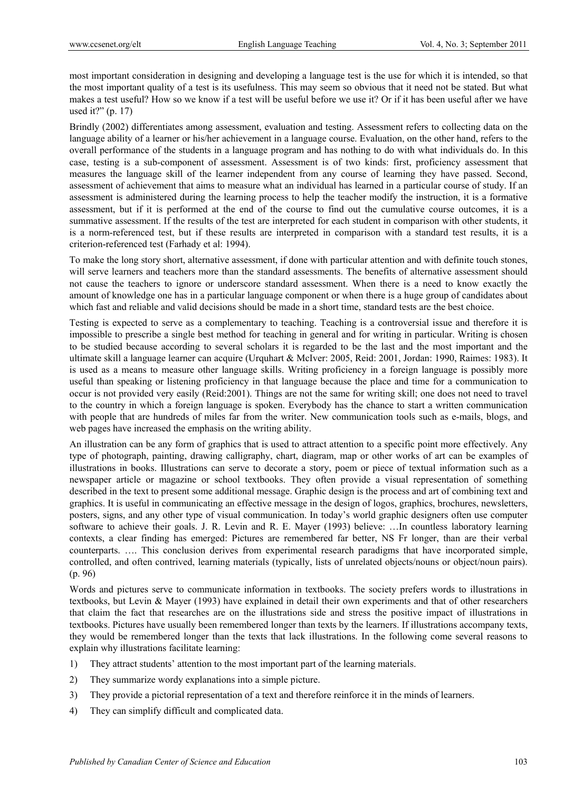most important consideration in designing and developing a language test is the use for which it is intended, so that the most important quality of a test is its usefulness. This may seem so obvious that it need not be stated. But what makes a test useful? How so we know if a test will be useful before we use it? Or if it has been useful after we have used it?" (p. 17)

Brindly (2002) differentiates among assessment, evaluation and testing. Assessment refers to collecting data on the language ability of a learner or his/her achievement in a language course. Evaluation, on the other hand, refers to the overall performance of the students in a language program and has nothing to do with what individuals do. In this case, testing is a sub-component of assessment. Assessment is of two kinds: first, proficiency assessment that measures the language skill of the learner independent from any course of learning they have passed. Second, assessment of achievement that aims to measure what an individual has learned in a particular course of study. If an assessment is administered during the learning process to help the teacher modify the instruction, it is a formative assessment, but if it is performed at the end of the course to find out the cumulative course outcomes, it is a summative assessment. If the results of the test are interpreted for each student in comparison with other students, it is a norm-referenced test, but if these results are interpreted in comparison with a standard test results, it is a criterion-referenced test (Farhady et al: 1994).

To make the long story short, alternative assessment, if done with particular attention and with definite touch stones, will serve learners and teachers more than the standard assessments. The benefits of alternative assessment should not cause the teachers to ignore or underscore standard assessment. When there is a need to know exactly the amount of knowledge one has in a particular language component or when there is a huge group of candidates about which fast and reliable and valid decisions should be made in a short time, standard tests are the best choice.

Testing is expected to serve as a complementary to teaching. Teaching is a controversial issue and therefore it is impossible to prescribe a single best method for teaching in general and for writing in particular. Writing is chosen to be studied because according to several scholars it is regarded to be the last and the most important and the ultimate skill a language learner can acquire (Urquhart & McIver: 2005, Reid: 2001, Jordan: 1990, Raimes: 1983). It is used as a means to measure other language skills. Writing proficiency in a foreign language is possibly more useful than speaking or listening proficiency in that language because the place and time for a communication to occur is not provided very easily (Reid:2001). Things are not the same for writing skill; one does not need to travel to the country in which a foreign language is spoken. Everybody has the chance to start a written communication with people that are hundreds of miles far from the writer. New communication tools such as e-mails, blogs, and web pages have increased the emphasis on the writing ability.

An illustration can be any form of graphics that is used to attract attention to a specific point more effectively. Any type of photograph, painting, drawing calligraphy, chart, diagram, map or other works of art can be examples of illustrations in books. Illustrations can serve to decorate a story, poem or piece of textual information such as a newspaper article or magazine or school textbooks. They often provide a visual representation of something described in the text to present some additional message. Graphic design is the process and art of combining text and graphics. It is useful in communicating an effective message in the design of logos, graphics, brochures, newsletters, posters, signs, and any other type of visual communication. In today's world graphic designers often use computer software to achieve their goals. J. R. Levin and R. E. Mayer (1993) believe: …In countless laboratory learning contexts, a clear finding has emerged: Pictures are remembered far better, NS Fr longer, than are their verbal counterparts. …. This conclusion derives from experimental research paradigms that have incorporated simple, controlled, and often contrived, learning materials (typically, lists of unrelated objects/nouns or object/noun pairs). (p. 96)

Words and pictures serve to communicate information in textbooks. The society prefers words to illustrations in textbooks, but Levin & Mayer (1993) have explained in detail their own experiments and that of other researchers that claim the fact that researches are on the illustrations side and stress the positive impact of illustrations in textbooks. Pictures have usually been remembered longer than texts by the learners. If illustrations accompany texts, they would be remembered longer than the texts that lack illustrations. In the following come several reasons to explain why illustrations facilitate learning:

- 1) They attract students' attention to the most important part of the learning materials.
- 2) They summarize wordy explanations into a simple picture.
- 3) They provide a pictorial representation of a text and therefore reinforce it in the minds of learners.
- 4) They can simplify difficult and complicated data.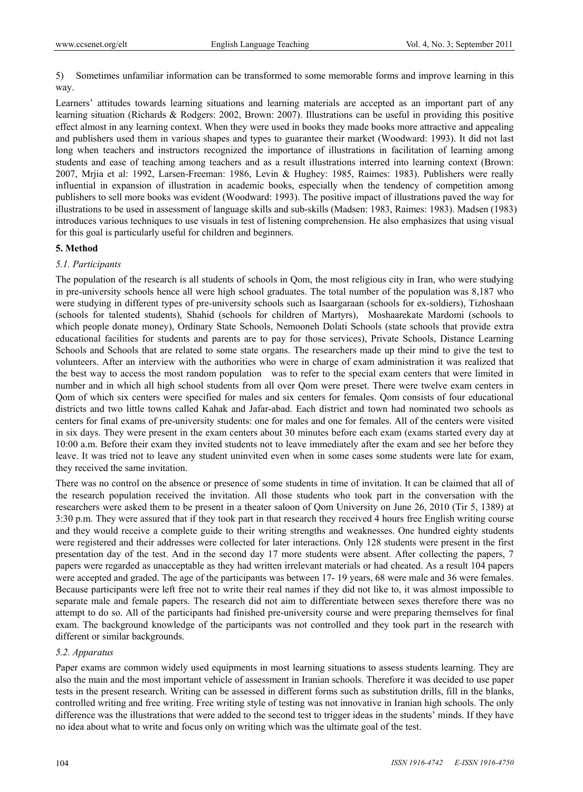5) Sometimes unfamiliar information can be transformed to some memorable forms and improve learning in this way.

Learners' attitudes towards learning situations and learning materials are accepted as an important part of any learning situation (Richards & Rodgers: 2002, Brown: 2007). Illustrations can be useful in providing this positive effect almost in any learning context. When they were used in books they made books more attractive and appealing and publishers used them in various shapes and types to guarantee their market (Woodward: 1993). It did not last long when teachers and instructors recognized the importance of illustrations in facilitation of learning among students and ease of teaching among teachers and as a result illustrations interred into learning context (Brown: 2007, Mrjia et al: 1992, Larsen-Freeman: 1986, Levin & Hughey: 1985, Raimes: 1983). Publishers were really influential in expansion of illustration in academic books, especially when the tendency of competition among publishers to sell more books was evident (Woodward: 1993). The positive impact of illustrations paved the way for illustrations to be used in assessment of language skills and sub-skills (Madsen: 1983, Raimes: 1983). Madsen (1983) introduces various techniques to use visuals in test of listening comprehension. He also emphasizes that using visual for this goal is particularly useful for children and beginners.

# **5. Method**

# *5.1. Participants*

The population of the research is all students of schools in Qom, the most religious city in Iran, who were studying in pre-university schools hence all were high school graduates. The total number of the population was 8,187 who were studying in different types of pre-university schools such as Isaargaraan (schools for ex-soldiers), Tizhoshaan (schools for talented students), Shahid (schools for children of Martyrs), Moshaarekate Mardomi (schools to which people donate money), Ordinary State Schools, Nemooneh Dolati Schools (state schools that provide extra educational facilities for students and parents are to pay for those services), Private Schools, Distance Learning Schools and Schools that are related to some state organs. The researchers made up their mind to give the test to volunteers. After an interview with the authorities who were in charge of exam administration it was realized that the best way to access the most random population was to refer to the special exam centers that were limited in number and in which all high school students from all over Qom were preset. There were twelve exam centers in Qom of which six centers were specified for males and six centers for females. Qom consists of four educational districts and two little towns called Kahak and Jafar-abad. Each district and town had nominated two schools as centers for final exams of pre-university students: one for males and one for females. All of the centers were visited in six days. They were present in the exam centers about 30 minutes before each exam (exams started every day at 10:00 a.m. Before their exam they invited students not to leave immediately after the exam and see her before they leave. It was tried not to leave any student uninvited even when in some cases some students were late for exam, they received the same invitation.

There was no control on the absence or presence of some students in time of invitation. It can be claimed that all of the research population received the invitation. All those students who took part in the conversation with the researchers were asked them to be present in a theater saloon of Qom University on June 26, 2010 (Tir 5, 1389) at 3:30 p.m. They were assured that if they took part in that research they received 4 hours free English writing course and they would receive a complete guide to their writing strengths and weaknesses. One hundred eighty students were registered and their addresses were collected for later interactions. Only 128 students were present in the first presentation day of the test. And in the second day 17 more students were absent. After collecting the papers, 7 papers were regarded as unacceptable as they had written irrelevant materials or had cheated. As a result 104 papers were accepted and graded. The age of the participants was between 17- 19 years, 68 were male and 36 were females. Because participants were left free not to write their real names if they did not like to, it was almost impossible to separate male and female papers. The research did not aim to differentiate between sexes therefore there was no attempt to do so. All of the participants had finished pre-university course and were preparing themselves for final exam. The background knowledge of the participants was not controlled and they took part in the research with different or similar backgrounds.

# *5.2. Apparatus*

Paper exams are common widely used equipments in most learning situations to assess students learning. They are also the main and the most important vehicle of assessment in Iranian schools. Therefore it was decided to use paper tests in the present research. Writing can be assessed in different forms such as substitution drills, fill in the blanks, controlled writing and free writing. Free writing style of testing was not innovative in Iranian high schools. The only difference was the illustrations that were added to the second test to trigger ideas in the students' minds. If they have no idea about what to write and focus only on writing which was the ultimate goal of the test.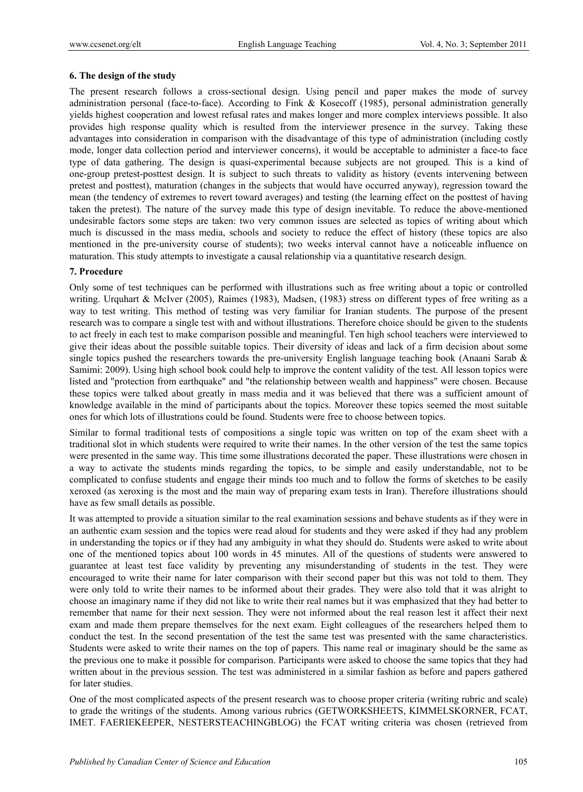# **6. The design of the study**

The present research follows a cross-sectional design. Using pencil and paper makes the mode of survey administration personal (face-to-face). According to Fink & Kosecoff (1985), personal administration generally yields highest cooperation and lowest refusal rates and makes longer and more complex interviews possible. It also provides high response quality which is resulted from the interviewer presence in the survey. Taking these advantages into consideration in comparison with the disadvantage of this type of administration (including costly mode, longer data collection period and interviewer concerns), it would be acceptable to administer a face-to face type of data gathering. The design is quasi-experimental because subjects are not grouped. This is a kind of one-group pretest-posttest design. It is subject to such threats to validity as history (events intervening between pretest and posttest), maturation (changes in the subjects that would have occurred anyway), regression toward the mean (the tendency of extremes to revert toward averages) and testing (the learning effect on the posttest of having taken the pretest). The nature of the survey made this type of design inevitable. To reduce the above-mentioned undesirable factors some steps are taken: two very common issues are selected as topics of writing about which much is discussed in the mass media, schools and society to reduce the effect of history (these topics are also mentioned in the pre-university course of students); two weeks interval cannot have a noticeable influence on maturation. This study attempts to investigate a causal relationship via a quantitative research design.

# **7. Procedure**

Only some of test techniques can be performed with illustrations such as free writing about a topic or controlled writing. Urquhart & McIver (2005), Raimes (1983), Madsen, (1983) stress on different types of free writing as a way to test writing. This method of testing was very familiar for Iranian students. The purpose of the present research was to compare a single test with and without illustrations. Therefore choice should be given to the students to act freely in each test to make comparison possible and meaningful. Ten high school teachers were interviewed to give their ideas about the possible suitable topics. Their diversity of ideas and lack of a firm decision about some single topics pushed the researchers towards the pre-university English language teaching book (Anaani Sarab & Samimi: 2009). Using high school book could help to improve the content validity of the test. All lesson topics were listed and "protection from earthquake" and "the relationship between wealth and happiness" were chosen. Because these topics were talked about greatly in mass media and it was believed that there was a sufficient amount of knowledge available in the mind of participants about the topics. Moreover these topics seemed the most suitable ones for which lots of illustrations could be found. Students were free to choose between topics.

Similar to formal traditional tests of compositions a single topic was written on top of the exam sheet with a traditional slot in which students were required to write their names. In the other version of the test the same topics were presented in the same way. This time some illustrations decorated the paper. These illustrations were chosen in a way to activate the students minds regarding the topics, to be simple and easily understandable, not to be complicated to confuse students and engage their minds too much and to follow the forms of sketches to be easily xeroxed (as xeroxing is the most and the main way of preparing exam tests in Iran). Therefore illustrations should have as few small details as possible.

It was attempted to provide a situation similar to the real examination sessions and behave students as if they were in an authentic exam session and the topics were read aloud for students and they were asked if they had any problem in understanding the topics or if they had any ambiguity in what they should do. Students were asked to write about one of the mentioned topics about 100 words in 45 minutes. All of the questions of students were answered to guarantee at least test face validity by preventing any misunderstanding of students in the test. They were encouraged to write their name for later comparison with their second paper but this was not told to them. They were only told to write their names to be informed about their grades. They were also told that it was alright to choose an imaginary name if they did not like to write their real names but it was emphasized that they had better to remember that name for their next session. They were not informed about the real reason lest it affect their next exam and made them prepare themselves for the next exam. Eight colleagues of the researchers helped them to conduct the test. In the second presentation of the test the same test was presented with the same characteristics. Students were asked to write their names on the top of papers. This name real or imaginary should be the same as the previous one to make it possible for comparison. Participants were asked to choose the same topics that they had written about in the previous session. The test was administered in a similar fashion as before and papers gathered for later studies.

One of the most complicated aspects of the present research was to choose proper criteria (writing rubric and scale) to grade the writings of the students. Among various rubrics (GETWORKSHEETS, KIMMELSKORNER, FCAT, IMET. FAERIEKEEPER, NESTERSTEACHINGBLOG) the FCAT writing criteria was chosen (retrieved from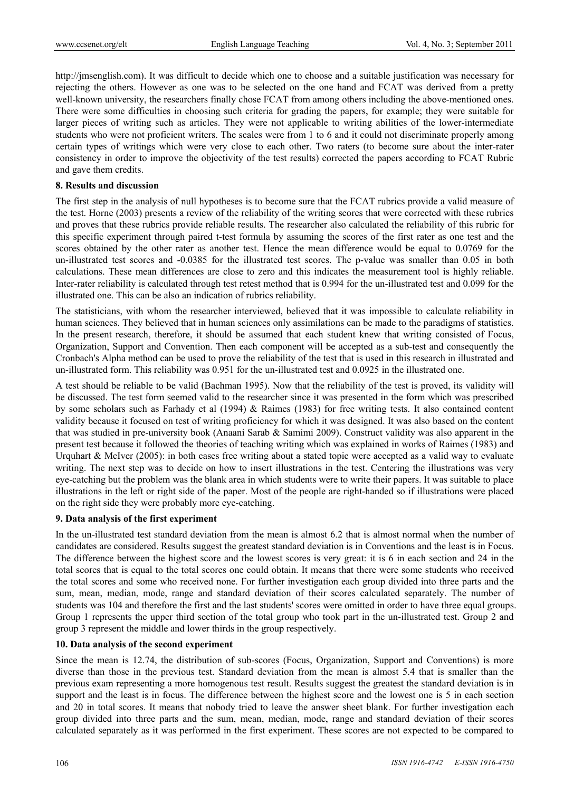http://jmsenglish.com). It was difficult to decide which one to choose and a suitable justification was necessary for rejecting the others. However as one was to be selected on the one hand and FCAT was derived from a pretty well-known university, the researchers finally chose FCAT from among others including the above-mentioned ones. There were some difficulties in choosing such criteria for grading the papers, for example; they were suitable for larger pieces of writing such as articles. They were not applicable to writing abilities of the lower-intermediate students who were not proficient writers. The scales were from 1 to 6 and it could not discriminate properly among certain types of writings which were very close to each other. Two raters (to become sure about the inter-rater consistency in order to improve the objectivity of the test results) corrected the papers according to FCAT Rubric and gave them credits.

### **8. Results and discussion**

The first step in the analysis of null hypotheses is to become sure that the FCAT rubrics provide a valid measure of the test. Horne (2003) presents a review of the reliability of the writing scores that were corrected with these rubrics and proves that these rubrics provide reliable results. The researcher also calculated the reliability of this rubric for this specific experiment through paired t-test formula by assuming the scores of the first rater as one test and the scores obtained by the other rater as another test. Hence the mean difference would be equal to 0.0769 for the un-illustrated test scores and -0.0385 for the illustrated test scores. The p-value was smaller than 0.05 in both calculations. These mean differences are close to zero and this indicates the measurement tool is highly reliable. Inter-rater reliability is calculated through test retest method that is 0.994 for the un-illustrated test and 0.099 for the illustrated one. This can be also an indication of rubrics reliability.

The statisticians, with whom the researcher interviewed, believed that it was impossible to calculate reliability in human sciences. They believed that in human sciences only assimilations can be made to the paradigms of statistics. In the present research, therefore, it should be assumed that each student knew that writing consisted of Focus, Organization, Support and Convention. Then each component will be accepted as a sub-test and consequently the Cronbach's Alpha method can be used to prove the reliability of the test that is used in this research in illustrated and un-illustrated form. This reliability was 0.951 for the un-illustrated test and 0.0925 in the illustrated one.

A test should be reliable to be valid (Bachman 1995). Now that the reliability of the test is proved, its validity will be discussed. The test form seemed valid to the researcher since it was presented in the form which was prescribed by some scholars such as Farhady et al (1994) & Raimes (1983) for free writing tests. It also contained content validity because it focused on test of writing proficiency for which it was designed. It was also based on the content that was studied in pre-university book (Anaani Sarab & Samimi 2009). Construct validity was also apparent in the present test because it followed the theories of teaching writing which was explained in works of Raimes (1983) and Urquhart & McIver (2005): in both cases free writing about a stated topic were accepted as a valid way to evaluate writing. The next step was to decide on how to insert illustrations in the test. Centering the illustrations was very eye-catching but the problem was the blank area in which students were to write their papers. It was suitable to place illustrations in the left or right side of the paper. Most of the people are right-handed so if illustrations were placed on the right side they were probably more eye-catching.

# **9. Data analysis of the first experiment**

In the un-illustrated test standard deviation from the mean is almost 6.2 that is almost normal when the number of candidates are considered. Results suggest the greatest standard deviation is in Conventions and the least is in Focus. The difference between the highest score and the lowest scores is very great: it is 6 in each section and 24 in the total scores that is equal to the total scores one could obtain. It means that there were some students who received the total scores and some who received none. For further investigation each group divided into three parts and the sum, mean, median, mode, range and standard deviation of their scores calculated separately. The number of students was 104 and therefore the first and the last students' scores were omitted in order to have three equal groups. Group 1 represents the upper third section of the total group who took part in the un-illustrated test. Group 2 and group 3 represent the middle and lower thirds in the group respectively.

### **10. Data analysis of the second experiment**

Since the mean is 12.74, the distribution of sub-scores (Focus, Organization, Support and Conventions) is more diverse than those in the previous test. Standard deviation from the mean is almost 5.4 that is smaller than the previous exam representing a more homogenous test result. Results suggest the greatest the standard deviation is in support and the least is in focus. The difference between the highest score and the lowest one is 5 in each section and 20 in total scores. It means that nobody tried to leave the answer sheet blank. For further investigation each group divided into three parts and the sum, mean, median, mode, range and standard deviation of their scores calculated separately as it was performed in the first experiment. These scores are not expected to be compared to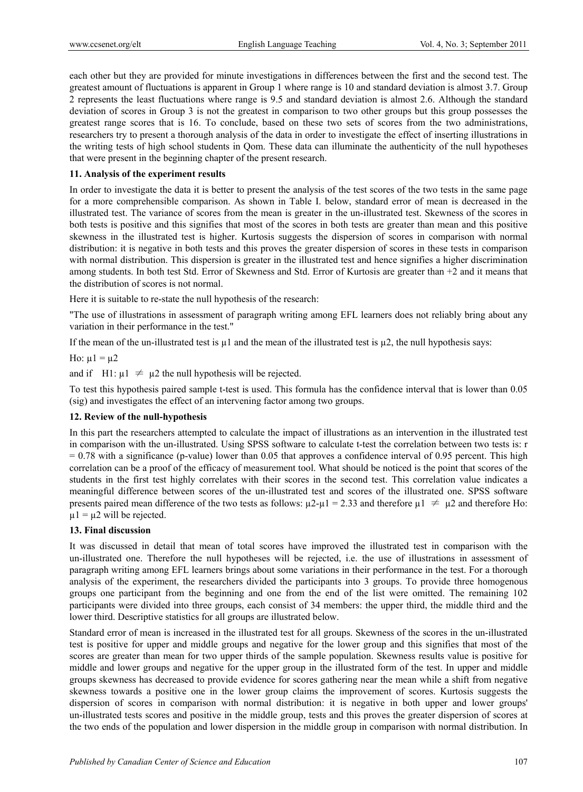each other but they are provided for minute investigations in differences between the first and the second test. The greatest amount of fluctuations is apparent in Group 1 where range is 10 and standard deviation is almost 3.7. Group 2 represents the least fluctuations where range is 9.5 and standard deviation is almost 2.6. Although the standard deviation of scores in Group 3 is not the greatest in comparison to two other groups but this group possesses the greatest range scores that is 16. To conclude, based on these two sets of scores from the two administrations, researchers try to present a thorough analysis of the data in order to investigate the effect of inserting illustrations in the writing tests of high school students in Qom. These data can illuminate the authenticity of the null hypotheses that were present in the beginning chapter of the present research.

# **11. Analysis of the experiment results**

In order to investigate the data it is better to present the analysis of the test scores of the two tests in the same page for a more comprehensible comparison. As shown in Table I. below, standard error of mean is decreased in the illustrated test. The variance of scores from the mean is greater in the un-illustrated test. Skewness of the scores in both tests is positive and this signifies that most of the scores in both tests are greater than mean and this positive skewness in the illustrated test is higher. Kurtosis suggests the dispersion of scores in comparison with normal distribution: it is negative in both tests and this proves the greater dispersion of scores in these tests in comparison with normal distribution. This dispersion is greater in the illustrated test and hence signifies a higher discrimination among students. In both test Std. Error of Skewness and Std. Error of Kurtosis are greater than +2 and it means that the distribution of scores is not normal.

Here it is suitable to re-state the null hypothesis of the research:

"The use of illustrations in assessment of paragraph writing among EFL learners does not reliably bring about any variation in their performance in the test."

If the mean of the un-illustrated test is  $\mu$ 1 and the mean of the illustrated test is  $\mu$ 2, the null hypothesis says:

Ho:  $\mu$ 1 =  $\mu$ 2

and if H1:  $\mu$ 1  $\neq \mu$ 2 the null hypothesis will be rejected.

To test this hypothesis paired sample t-test is used. This formula has the confidence interval that is lower than 0.05 (sig) and investigates the effect of an intervening factor among two groups.

# **12. Review of the null-hypothesis**

In this part the researchers attempted to calculate the impact of illustrations as an intervention in the illustrated test in comparison with the un-illustrated. Using SPSS software to calculate t-test the correlation between two tests is: r  $= 0.78$  with a significance (p-value) lower than 0.05 that approves a confidence interval of 0.95 percent. This high correlation can be a proof of the efficacy of measurement tool. What should be noticed is the point that scores of the students in the first test highly correlates with their scores in the second test. This correlation value indicates a meaningful difference between scores of the un-illustrated test and scores of the illustrated one. SPSS software presents paired mean difference of the two tests as follows:  $\mu$ 2- $\mu$ 1 = 2.33 and therefore  $\mu$ 1  $\neq \mu$ 2 and therefore Ho:  $\mu$ 1 =  $\mu$ 2 will be rejected.

# **13. Final discussion**

It was discussed in detail that mean of total scores have improved the illustrated test in comparison with the un-illustrated one. Therefore the null hypotheses will be rejected, i.e. the use of illustrations in assessment of paragraph writing among EFL learners brings about some variations in their performance in the test. For a thorough analysis of the experiment, the researchers divided the participants into 3 groups. To provide three homogenous groups one participant from the beginning and one from the end of the list were omitted. The remaining 102 participants were divided into three groups, each consist of 34 members: the upper third, the middle third and the lower third. Descriptive statistics for all groups are illustrated below.

Standard error of mean is increased in the illustrated test for all groups. Skewness of the scores in the un-illustrated test is positive for upper and middle groups and negative for the lower group and this signifies that most of the scores are greater than mean for two upper thirds of the sample population. Skewness results value is positive for middle and lower groups and negative for the upper group in the illustrated form of the test. In upper and middle groups skewness has decreased to provide evidence for scores gathering near the mean while a shift from negative skewness towards a positive one in the lower group claims the improvement of scores. Kurtosis suggests the dispersion of scores in comparison with normal distribution: it is negative in both upper and lower groups' un-illustrated tests scores and positive in the middle group, tests and this proves the greater dispersion of scores at the two ends of the population and lower dispersion in the middle group in comparison with normal distribution. In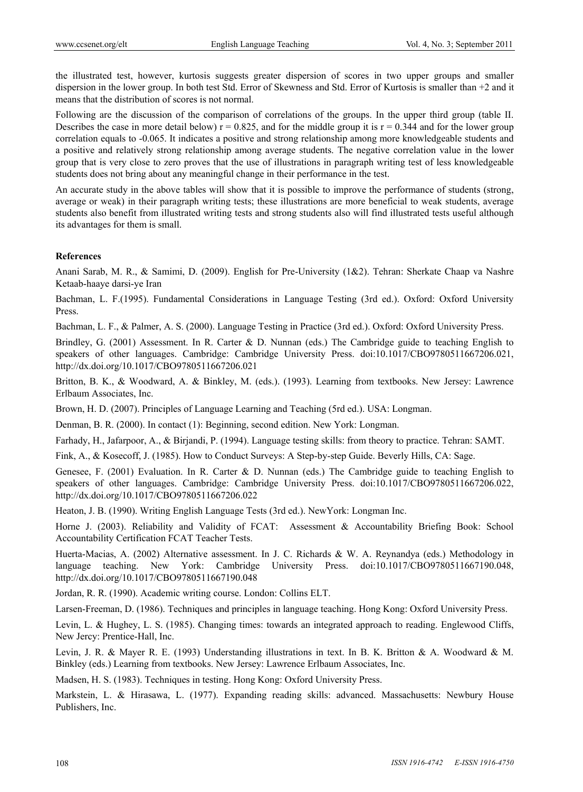the illustrated test, however, kurtosis suggests greater dispersion of scores in two upper groups and smaller dispersion in the lower group. In both test Std. Error of Skewness and Std. Error of Kurtosis is smaller than +2 and it means that the distribution of scores is not normal.

Following are the discussion of the comparison of correlations of the groups. In the upper third group (table II. Describes the case in more detail below)  $r = 0.825$ , and for the middle group it is  $r = 0.344$  and for the lower group correlation equals to -0.065. It indicates a positive and strong relationship among more knowledgeable students and a positive and relatively strong relationship among average students. The negative correlation value in the lower group that is very close to zero proves that the use of illustrations in paragraph writing test of less knowledgeable students does not bring about any meaningful change in their performance in the test.

An accurate study in the above tables will show that it is possible to improve the performance of students (strong, average or weak) in their paragraph writing tests; these illustrations are more beneficial to weak students, average students also benefit from illustrated writing tests and strong students also will find illustrated tests useful although its advantages for them is small.

# **References**

Anani Sarab, M. R., & Samimi, D. (2009). English for Pre-University (1&2). Tehran: Sherkate Chaap va Nashre Ketaab-haaye darsi-ye Iran

Bachman, L. F.(1995). Fundamental Considerations in Language Testing (3rd ed.). Oxford: Oxford University Press.

Bachman, L. F., & Palmer, A. S. (2000). Language Testing in Practice (3rd ed.). Oxford: Oxford University Press.

Brindley, G. (2001) Assessment. In R. Carter & D. Nunnan (eds.) The Cambridge guide to teaching English to speakers of other languages. Cambridge: Cambridge University Press. doi:10.1017/CBO9780511667206.021, http://dx.doi.org/10.1017/CBO9780511667206.021

Britton, B. K., & Woodward, A. & Binkley, M. (eds.). (1993). Learning from textbooks. New Jersey: Lawrence Erlbaum Associates, Inc.

Brown, H. D. (2007). Principles of Language Learning and Teaching (5rd ed.). USA: Longman.

Denman, B. R. (2000). In contact (1): Beginning, second edition. New York: Longman.

Farhady, H., Jafarpoor, A., & Birjandi, P. (1994). Language testing skills: from theory to practice. Tehran: SAMT.

Fink, A., & Kosecoff, J. (1985). How to Conduct Surveys: A Step-by-step Guide. Beverly Hills, CA: Sage.

Genesee, F. (2001) Evaluation. In R. Carter & D. Nunnan (eds.) The Cambridge guide to teaching English to speakers of other languages. Cambridge: Cambridge University Press. doi:10.1017/CBO9780511667206.022, http://dx.doi.org/10.1017/CBO9780511667206.022

Heaton, J. B. (1990). Writing English Language Tests (3rd ed.). NewYork: Longman Inc.

Horne J. (2003). Reliability and Validity of FCAT: Assessment & Accountability Briefing Book: School Accountability Certification FCAT Teacher Tests.

Huerta-Macias, A. (2002) Alternative assessment. In J. C. Richards & W. A. Reynandya (eds.) Methodology in language teaching. New York: Cambridge University Press. doi:10.1017/CBO9780511667190.048, http://dx.doi.org/10.1017/CBO9780511667190.048

Jordan, R. R. (1990). Academic writing course. London: Collins ELT.

Larsen-Freeman, D. (1986). Techniques and principles in language teaching. Hong Kong: Oxford University Press.

Levin, L. & Hughey, L. S. (1985). Changing times: towards an integrated approach to reading. Englewood Cliffs, New Jercy: Prentice-Hall, Inc.

Levin, J. R. & Mayer R. E. (1993) Understanding illustrations in text. In B. K. Britton & A. Woodward & M. Binkley (eds.) Learning from textbooks. New Jersey: Lawrence Erlbaum Associates, Inc.

Madsen, H. S. (1983). Techniques in testing. Hong Kong: Oxford University Press.

Markstein, L. & Hirasawa, L. (1977). Expanding reading skills: advanced. Massachusetts: Newbury House Publishers, Inc.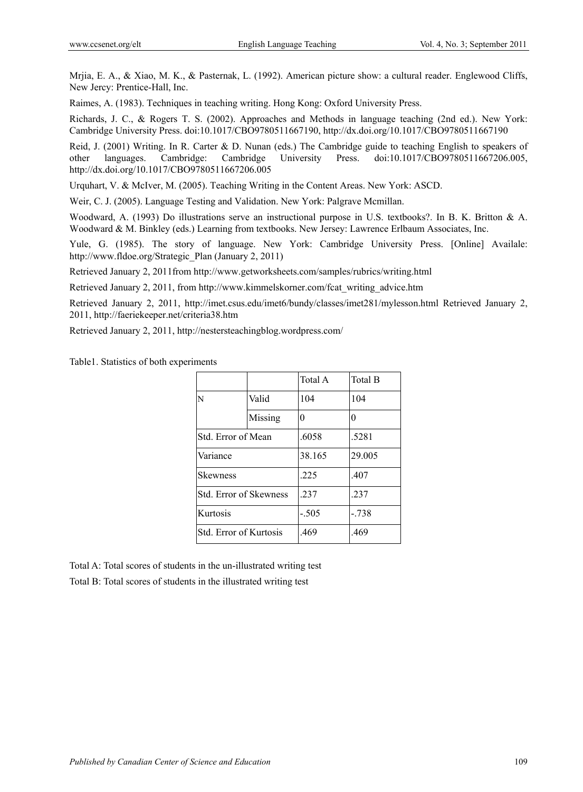Mrjia, E. A., & Xiao, M. K., & Pasternak, L. (1992). American picture show: a cultural reader. Englewood Cliffs, New Jercy: Prentice-Hall, Inc.

Raimes, A. (1983). Techniques in teaching writing. Hong Kong: Oxford University Press.

Richards, J. C., & Rogers T. S. (2002). Approaches and Methods in language teaching (2nd ed.). New York: Cambridge University Press. doi:10.1017/CBO9780511667190, http://dx.doi.org/10.1017/CBO9780511667190

Reid, J. (2001) Writing. In R. Carter & D. Nunan (eds.) The Cambridge guide to teaching English to speakers of other languages. Cambridge: Cambridge University Press. doi:10.1017/CBO9780511667206.005, http://dx.doi.org/10.1017/CBO9780511667206.005

Urquhart, V. & McIver, M. (2005). Teaching Writing in the Content Areas. New York: ASCD.

Weir, C. J. (2005). Language Testing and Validation. New York: Palgrave Mcmillan.

Woodward, A. (1993) Do illustrations serve an instructional purpose in U.S. textbooks?. In B. K. Britton & A. Woodward & M. Binkley (eds.) Learning from textbooks. New Jersey: Lawrence Erlbaum Associates, Inc.

Yule, G. (1985). The story of language. New York: Cambridge University Press. [Online] Availale: http://www.fldoe.org/Strategic\_Plan (January 2, 2011)

Retrieved January 2, 2011from http://www.getworksheets.com/samples/rubrics/writing.html

Retrieved January 2, 2011, from http://www.kimmelskorner.com/fcat\_writing\_advice.htm

Retrieved January 2, 2011, http://imet.csus.edu/imet6/bundy/classes/imet281/mylesson.html Retrieved January 2, 2011, http://faeriekeeper.net/criteria38.htm

Retrieved January 2, 2011, http://nestersteachingblog.wordpress.com/

Table1. Statistics of both experiments

|                               |         | Total A | Total B |  |  |
|-------------------------------|---------|---------|---------|--|--|
| N                             | Valid   | 104     | 104     |  |  |
|                               | Missing | 0       | 0       |  |  |
| Std. Error of Mean            |         | .6058   | .5281   |  |  |
| Variance                      |         | 38.165  | 29.005  |  |  |
| <b>Skewness</b>               |         | .225    | .407    |  |  |
| <b>Std. Error of Skewness</b> |         | .237    | .237    |  |  |
| Kurtosis                      |         | $-.505$ | $-.738$ |  |  |
| Std. Error of Kurtosis        |         | .469    | .469    |  |  |

Total A: Total scores of students in the un-illustrated writing test Total B: Total scores of students in the illustrated writing test